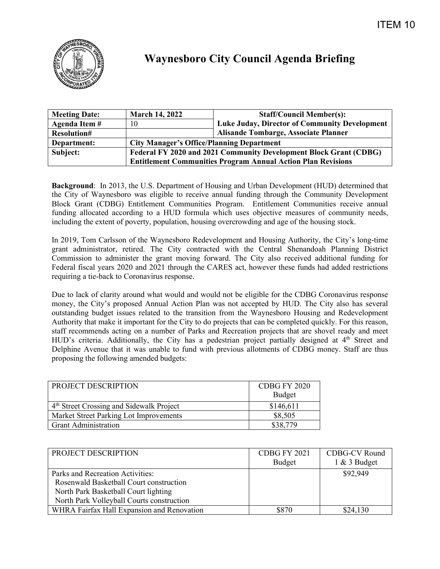

## **Waynesboro City Council Agenda Briefing**

| <b>Meeting Date:</b> | <b>March 14, 2022</b>                                               | <b>Staff/Council Member(s):</b>               |  |
|----------------------|---------------------------------------------------------------------|-----------------------------------------------|--|
| Agenda Item#         | 10                                                                  | Luke Juday, Director of Community Development |  |
| <b>Resolution#</b>   |                                                                     | Alisande Tombarge, Associate Planner          |  |
| Department:          | <b>City Manager's Office/Planning Department</b>                    |                                               |  |
| Subject:             | Federal FY 2020 and 2021 Community Development Block Grant (CDBG)   |                                               |  |
|                      | <b>Entitlement Communities Program Annual Action Plan Revisions</b> |                                               |  |

**Background**: In 2013, the U.S. Department of Housing and Urban Development (HUD) determined that the City of Waynesboro was eligible to receive annual funding through the Community Development Block Grant (CDBG) Entitlement Communities Program. Entitlement Communities receive annual funding allocated according to a HUD formula which uses objective measures of community needs, including the extent of poverty, population, housing overcrowding and age of the housing stock.

In 2019, Tom Carlsson of the Waynesboro Redevelopment and Housing Authority, the City's long-time grant administrator, retired. The City contracted with the Central Shenandoah Planning District Commission to administer the grant moving forward. The City also received additional funding for Federal fiscal years 2020 and 2021 through the CARES act, however these funds had added restrictions requiring a tie-back to Coronavirus response.

Due to lack of clarity around what would and would not be eligible for the CDBG Coronavirus response money, the City's proposed Annual Action Plan was not accepted by HUD. The City also has several outstanding budget issues related to the transition from the Waynesboro Housing and Redevelopment Authority that make it important for the City to do projects that can be completed quickly. For this reason, staff recommends acting on a number of Parks and Recreation projects that are shovel ready and meet HUD's criteria. Additionally, the City has a pedestrian project partially designed at 4<sup>th</sup> Street and Delphine Avenue that it was unable to fund with previous allotments of CDBG money. Staff are thus proposing the following amended budgets:

| PROJECT DESCRIPTION                                  | CDBG FY 2020 |
|------------------------------------------------------|--------------|
|                                                      | Budget       |
| 4 <sup>th</sup> Street Crossing and Sidewalk Project | \$146,611    |
| Market Street Parking Lot Improvements               | \$8,505      |
| <b>Grant Administration</b>                          | \$38,779     |

| PROJECT DESCRIPTION                        | CDBG FY 2021 | CDBG-CV Round   |
|--------------------------------------------|--------------|-----------------|
|                                            | Budget       | $1 \& 3$ Budget |
| Parks and Recreation Activities:           |              | \$92,949        |
| Rosenwald Basketball Court construction    |              |                 |
| North Park Basketball Court lighting       |              |                 |
| North Park Volleyball Courts construction  |              |                 |
| WHRA Fairfax Hall Expansion and Renovation | \$870        | \$24,130        |